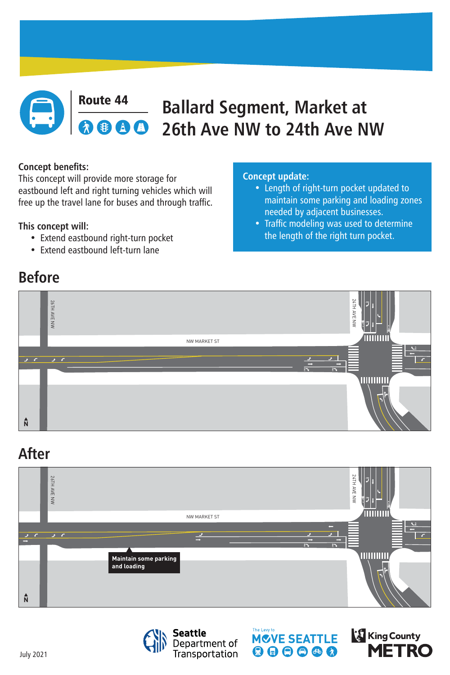

### **Route 44 Ballard Segment, Market at <br>
8 8 8 8 26th Ave NW to 24th Ave N 26th Ave NW to 24th Ave NW**

# **Before**

## **After**



#### **Concept benefits:**

This concept will provide more storage for eastbound left and right turning vehicles which will free up the travel lane for buses and through traffic.

### **This concept will:**

- Extend eastbound right-turn pocket
- Extend eastbound left-turn lane









#### **Concept update:**

- Length of right-turn pocket updated to maintain some parking and loading zones needed by adjacent businesses.
- Traffic modeling was used to determine

### the length of the right turn pocket.

July 2021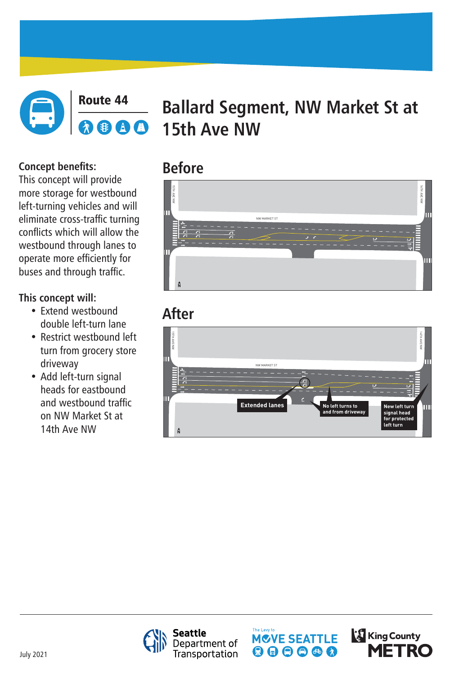

### Route 44 **Ballard Segment, NW Market St at**  AD **15th Ave NW**

# **Before**

# **After**





**Seattle** Department of<br>Transportation





July 2021

**Concept benefits:** This concept will provide more storage for westbound left-turning vehicles and will eliminate cross-traffic turning conflicts which will allow the westbound through lanes to operate more efficiently for buses and through traffic.

## **This concept will:**

- Extend westbound double left-turn lane
- Restrict westbound left turn from grocery store driveway
- Add left-turn signal heads for eastbound and westbound traffic on NW Market St at 14th Ave NW